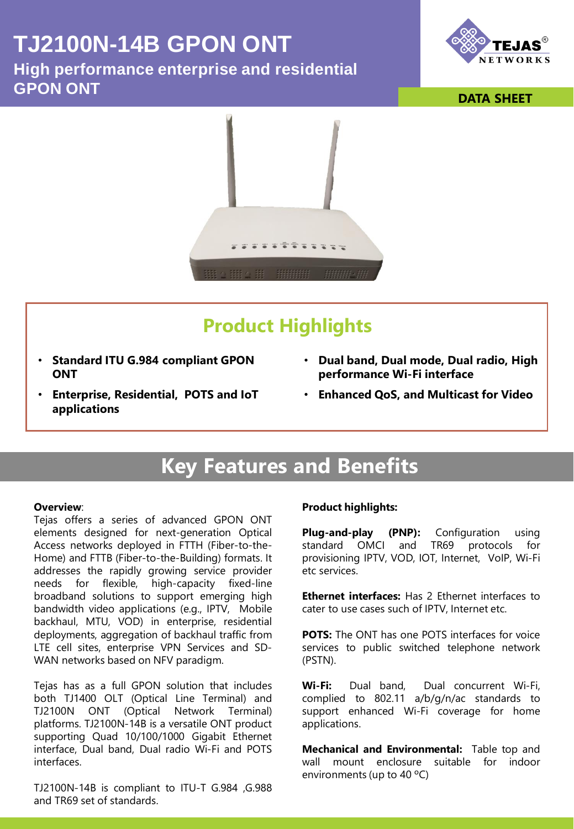# **TJ2100N-14B GPON ONT**

**High performance enterprise and residential GPON ONT DATA SHEET** 





# **Product Highlights**

- **Standard ITU G.984 compliant GPON ONT**
- **Dual band, Dual mode, Dual radio, High performance Wi-Fi interface**
- **Enterprise, Residential, POTS and IoT applications**
- **Enhanced QoS, and Multicast for Video**

# **Key Features and Benefits**

#### **Overview**:

Tejas offers a series of advanced GPON ONT elements designed for next-generation Optical Access networks deployed in FTTH (Fiber-to-the-Home) and FTTB (Fiber-to-the-Building) formats. It addresses the rapidly growing service provider needs for flexible, high-capacity fixed-line broadband solutions to support emerging high bandwidth video applications (e.g., IPTV, Mobile backhaul, MTU, VOD) in enterprise, residential deployments, aggregation of backhaul traffic from LTE cell sites, enterprise VPN Services and SD-WAN networks based on NFV paradigm.

Tejas has as a full GPON solution that includes both TJ1400 OLT (Optical Line Terminal) and TJ2100N ONT (Optical Network Terminal) platforms. TJ2100N-14B is a versatile ONT product supporting Quad 10/100/1000 Gigabit Ethernet interface, Dual band, Dual radio Wi-Fi and POTS interfaces.

TJ2100N-14B is compliant to ITU-T G.984 ,G.988 and TR69 set of standards.

# **Product highlights:**

**Plug-and-play (PNP):** Configuration using standard OMCI and TR69 protocols for provisioning IPTV, VOD, IOT, Internet, VoIP, Wi-Fi etc services.

**Ethernet interfaces:** Has 2 Ethernet interfaces to cater to use cases such of IPTV, Internet etc.

**POTS:** The ONT has one POTS interfaces for voice services to public switched telephone network (PSTN).

**Wi-Fi:** Dual band, Dual concurrent Wi-Fi, complied to 802.11 a/b/g/n/ac standards to support enhanced Wi-Fi coverage for home applications.

**Mechanical and Environmental:** Table top and wall mount enclosure suitable for indoor environments (up to 40 ºC)